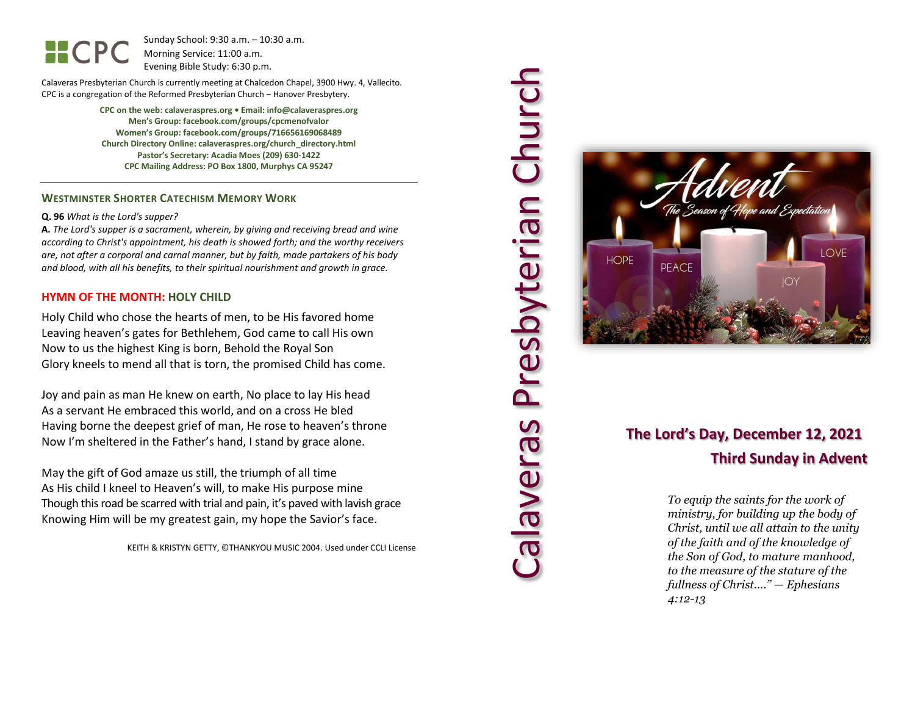Sunday School: 9: 3 0 a.m. – 10:30 a.m. Morning Service: 1 1 :00 a.m. Evening Bible Study: 6: 30 p.m.

Calaveras Presbyterian Church is currently meeting at Chalcedon Chapel, 3900 Hwy. 4, Vallecito. CPC is a congregation of the Reformed Presbyterian Church – Hanover Presbytery.

> **CPC on the web: calaveraspres.org • Email: info@calaveraspres.org Men's Group: facebook.com/groups/cpcmenofvalor Women's Group: facebook.com/groups/716656169068489 Church Directory Online: calaveraspres.org/church \_directory.html Pastor's Secretary: Acadia Moes (209) 630 -1422 CPC Mailing Address: PO Box 1800, Murphys CA 95247**

### **WESTMINSTER SHORTER CATECHISM MEMORY WORK**

### **Q . 9 6** *What is the Lord's supper?*

**A.** *The Lord's supper is a sacrament, wherein, by giving and receiving bread and wine according to Christ's appointment, his death is showed forth; and the worthy receivers are, not after a corporal and carnal manner, but by faith, made partakers of his body and blood, with all his benefits, to their spiritual nourishment and growth in grace.*

### **HYMN OF THE MONTH: HOLY CHILD**

Holy Child who chose the hearts of men, to be His favored home Leaving heaven's gates for Bethlehem, God came to call His own Now to us the highest King is born, Behold the Royal Son Glory kneels to mend all that is torn, the promised Child has come.

Joy and pain as man He knew on earth, No place to lay His head As a servant He embraced this world, and on a cross He bled Having borne the deepest grief of man, He rose to heaven's throne Now I'm sheltered in the Father's hand, I stand by grace alone.

May the gift of God amaze us still, the triumph of all time As His child I kneel to Heaven's will, to make His purpose mine Though this road be scarred with trial and pain, it's paved with lavish grace Knowing Him will be my greatest gain, my hope the Savior's face.

KEITH & KRISTYN GETTY, ©THANKYOU MUSIC 2004. Used under CCLI License





## **The Lord's Day, December 12, 2021 Thir d Sunday in Advent**

*To equip the saints for the work of ministry, for building up the body of Christ, until we all attain to the unity of the faith and of the knowledge of the Son of God, to mature manhood, to the measure of the stature of the fullness of Christ…." — Ephesians 4:12 -13*